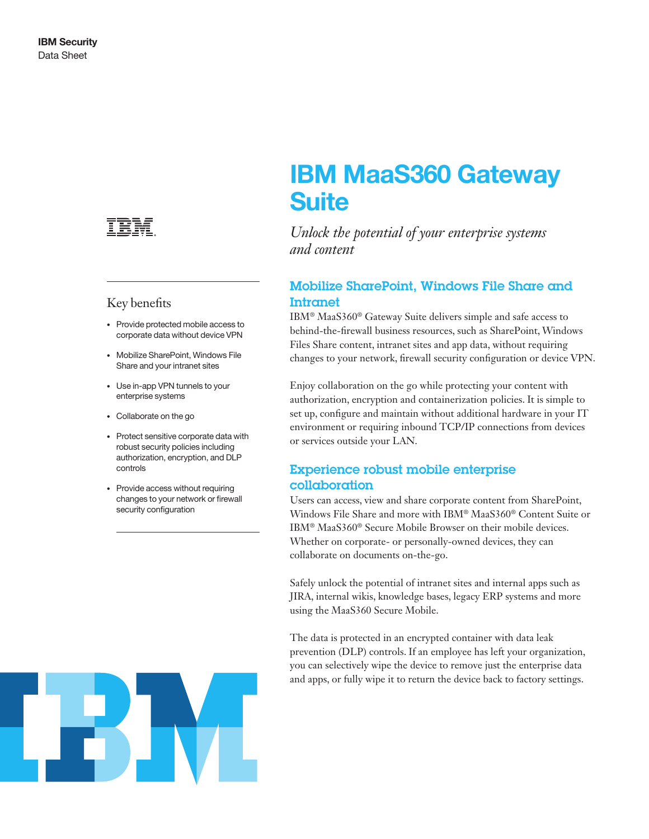

## Key benefits

- Provide protected mobile access to corporate data without device VPN
- Mobilize SharePoint, Windows File Share and your intranet sites
- Use in-app VPN tunnels to your enterprise systems
- Collaborate on the go
- Protect sensitive corporate data with robust security policies including authorization, encryption, and DLP controls
- Provide access without requiring changes to your network or firewall security configuration

# IBM MaaS360 Gateway **Suite**

*Unlock the potential of your enterprise systems and content*

# Mobilize SharePoint, Windows File Share and Intranet

IBM® MaaS360® Gateway Suite delivers simple and safe access to behind-the-firewall business resources, such as SharePoint, Windows Files Share content, intranet sites and app data, without requiring changes to your network, firewall security configuration or device VPN.

Enjoy collaboration on the go while protecting your content with authorization, encryption and containerization policies. It is simple to set up, configure and maintain without additional hardware in your IT environment or requiring inbound TCP/IP connections from devices or services outside your LAN.

# Experience robust mobile enterprise collaboration

Users can access, view and share corporate content from SharePoint, Windows File Share and more with IBM® MaaS360® Content Suite or IBM® MaaS360® Secure Mobile Browser on their mobile devices. Whether on corporate- or personally-owned devices, they can collaborate on documents on-the-go.

Safely unlock the potential of intranet sites and internal apps such as JIRA, internal wikis, knowledge bases, legacy ERP systems and more using the MaaS360 Secure Mobile.

The data is protected in an encrypted container with data leak prevention (DLP) controls. If an employee has left your organization, you can selectively wipe the device to remove just the enterprise data and apps, or fully wipe it to return the device back to factory settings.

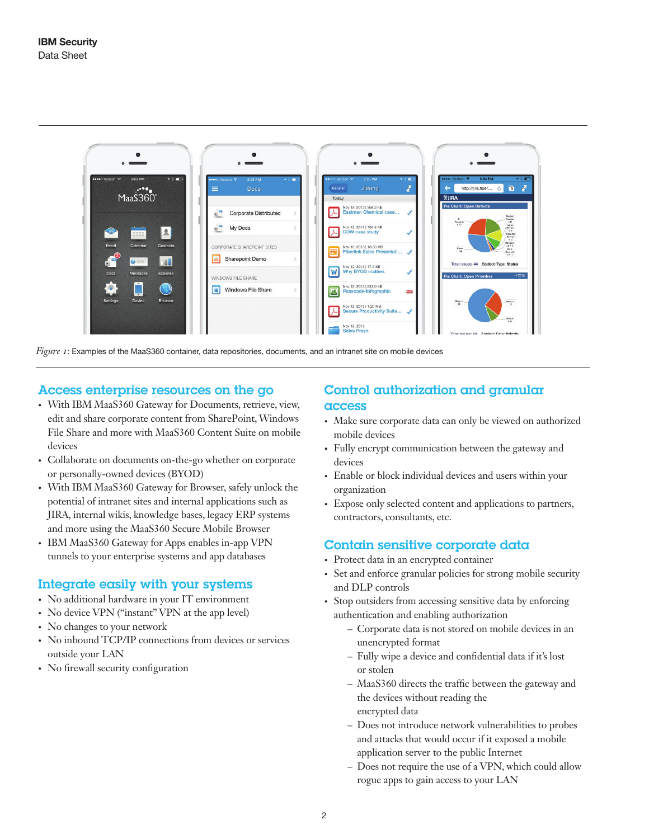

*Figure 1*: Examples of the MaaS360 container, data repositories, documents, and an intranet site on mobile devices

## Access enterprise resources on the go

- With IBM MaaS360 Gateway for Documents, retrieve, view, edit and share corporate content from SharePoint, Windows File Share and more with MaaS360 Content Suite on mobile devices
- Collaborate on documents on-the-go whether on corporate or personally-owned devices (BYOD)
- With IBM MaaS360 Gateway for Browser, safely unlock the potential of intranet sites and internal applications such as JIRA, internal wikis, knowledge bases, legacy ERP systems and more using the MaaS360 Secure Mobile Browser
- IBM MaaS360 Gateway for Apps enables in-app VPN tunnels to your enterprise systems and app databases

#### Integrate easily with your systems

- No additional hardware in your IT environment
- No device VPN ("instant" VPN at the app level)
- No changes to your network
- No inbound TCP/IP connections from devices or services outside your LAN
- No firewall security configuration

## Control authorization and granular access

- Make sure corporate data can only be viewed on authorized mobile devices
- Fully encrypt communication between the gateway and devices
- Enable or block individual devices and users within your organization
- Expose only selected content and applications to partners, contractors, consultants, etc.

### Contain sensitive corporate data

- Protect data in an encrypted container
- Set and enforce granular policies for strong mobile security and DLP controls
- Stop outsiders from accessing sensitive data by enforcing authentication and enabling authorization
	- Corporate data is not stored on mobile devices in an unencrypted format
	- Fully wipe a device and confidential data if it's lost or stolen
	- MaaS360 directs the traffic between the gateway and the devices without reading the encrypted data
	- Does not introduce network vulnerabilities to probes and attacks that would occur if it exposed a mobile application server to the public Internet
	- Does not require the use of a VPN, which could allow rogue apps to gain access to your LAN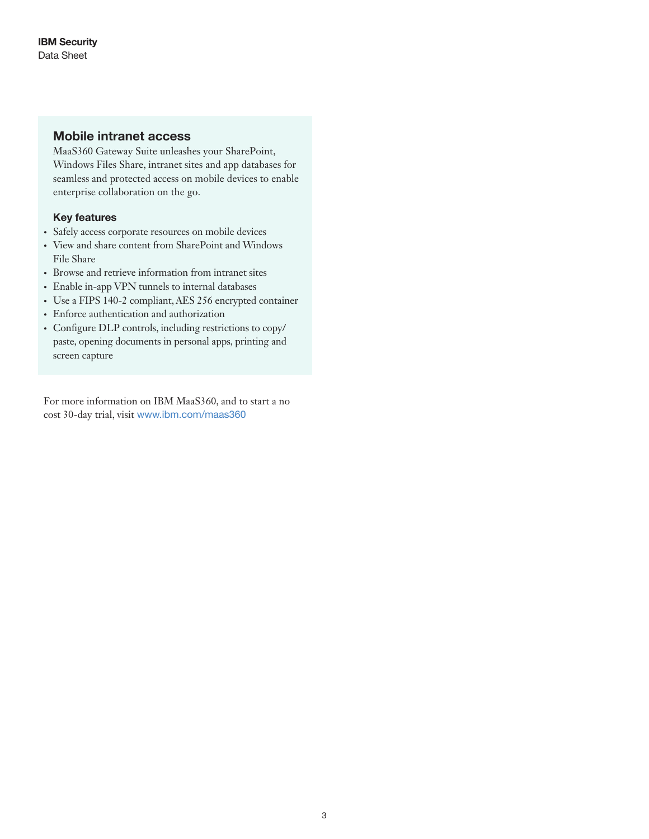## Mobile intranet access

MaaS360 Gateway Suite unleashes your SharePoint, Windows Files Share, intranet sites and app databases for seamless and protected access on mobile devices to enable enterprise collaboration on the go.

## Key features

- Safely access corporate resources on mobile devices
- View and share content from SharePoint and Windows File Share
- Browse and retrieve information from intranet sites
- Enable in-app VPN tunnels to internal databases
- Use a FIPS 140-2 compliant, AES 256 encrypted container
- Enforce authentication and authorization
- Configure DLP controls, including restrictions to copy/ paste, opening documents in personal apps, printing and screen capture

For more information on IBM MaaS360, and to start a no cost 30-day trial, visit <www.ibm.com/maas360>